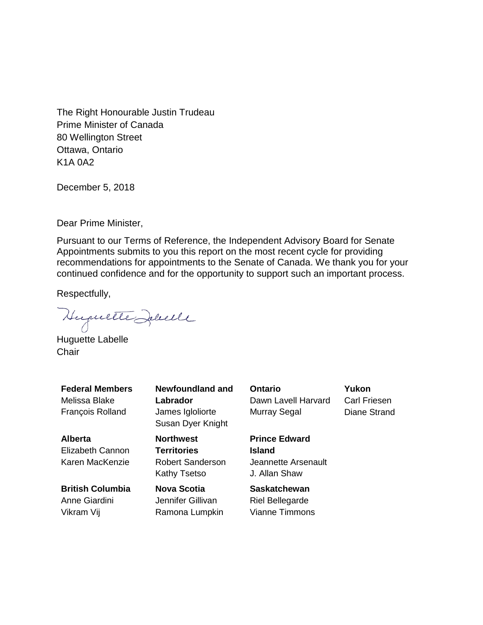The Right Honourable Justin Trudeau Prime Minister of Canada 80 Wellington Street Ottawa, Ontario K1A 0A2

December 5, 2018

Dear Prime Minister,

Pursuant to our Terms of Reference, the Independent Advisory Board for Senate Appointments submits to you this report on the most recent cycle for providing recommendations for appointments to the Senate of Canada. We thank you for your continued confidence and for the opportunity to support such an important process.

Respectfully,

Huguette Jebelle

Huguette Labelle **Chair** 

**Federal Members** Melissa Blake François Rolland

**Alberta** Elizabeth Cannon Karen MacKenzie

**British Columbia** Anne Giardini Vikram Vij

**Newfoundland and Labrador** James Igloliorte Susan Dyer Knight

**Northwest Territories** Robert Sanderson Kathy Tsetso

**Nova Scotia** Jennifer Gillivan Ramona Lumpkin **Ontario** Dawn Lavell Harvard Murray Segal

**Yukon** Carl Friesen Diane Strand

**Prince Edward Island** Jeannette Arsenault J. Allan Shaw

**Saskatchewan** Riel Bellegarde Vianne Timmons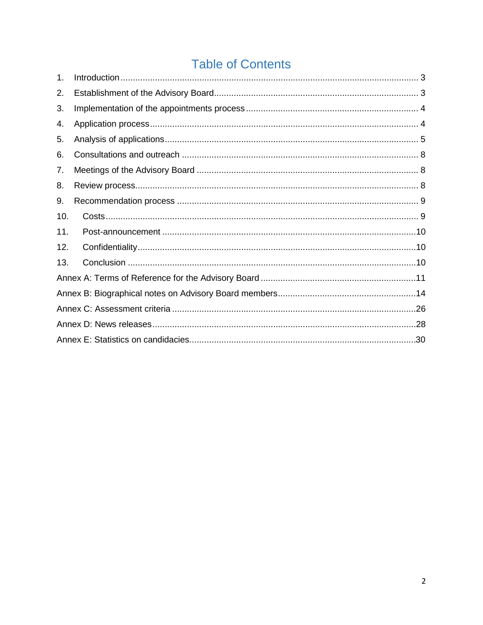# **Table of Contents**

| 1.  |  |  |  |  |
|-----|--|--|--|--|
| 2.  |  |  |  |  |
| 3.  |  |  |  |  |
| 4.  |  |  |  |  |
| 5.  |  |  |  |  |
| 6.  |  |  |  |  |
| 7.  |  |  |  |  |
| 8.  |  |  |  |  |
| 9.  |  |  |  |  |
| 10. |  |  |  |  |
| 11. |  |  |  |  |
| 12. |  |  |  |  |
| 13. |  |  |  |  |
|     |  |  |  |  |
|     |  |  |  |  |
|     |  |  |  |  |
|     |  |  |  |  |
|     |  |  |  |  |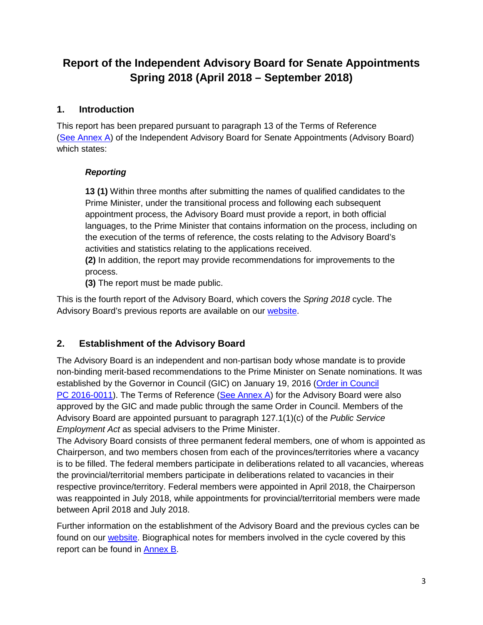# **Report of the Independent Advisory Board for Senate Appointments Spring 2018 (April 2018 – September 2018)**

# <span id="page-2-0"></span>**1. Introduction**

This report has been prepared pursuant to paragraph 13 of the Terms of Reference [\(See Annex A\)](#page-10-0) of the Independent Advisory Board for Senate Appointments (Advisory Board) which states:

# *Reporting*

**13 (1)** Within three months after submitting the names of qualified candidates to the Prime Minister, under the transitional process and following each subsequent appointment process, the Advisory Board must provide a report, in both official languages, to the Prime Minister that contains information on the process, including on the execution of the terms of reference, the costs relating to the Advisory Board's activities and statistics relating to the applications received.

**(2)** In addition, the report may provide recommendations for improvements to the process.

**(3)** The report must be made public.

This is the fourth report of the Advisory Board, which covers the *Spring 2018* cycle. The Advisory Board's previous reports are available on our [website.](https://www.canada.ca/en/campaign/independent-advisory-board-for-senate-appointments.html)

# <span id="page-2-1"></span>**2. Establishment of the Advisory Board**

The Advisory Board is an independent and non-partisan body whose mandate is to provide non-binding merit-based recommendations to the Prime Minister on Senate nominations. It was established by the Governor in Council (GIC) on January 19, 2016 [\(Order in Council](http://www.pco-bcp.gc.ca/oic-ddc.asp?lang=eng&txtToDate=&txtPrecis=senate&Page=secretariats&txtOICID=&txtAct=&txtBillNo=&txtFromDate=&txtDepartment=&txtChapterNo=&txtChapterYear=&rdoComingIntoForce=&DoSearch=Search+/+List&pg=3&viewattach=31695&blnDisplayFlg=1&pedisable=true)  [PC 2016-0011\)](http://www.pco-bcp.gc.ca/oic-ddc.asp?lang=eng&txtToDate=&txtPrecis=senate&Page=secretariats&txtOICID=&txtAct=&txtBillNo=&txtFromDate=&txtDepartment=&txtChapterNo=&txtChapterYear=&rdoComingIntoForce=&DoSearch=Search+/+List&pg=3&viewattach=31695&blnDisplayFlg=1&pedisable=true). The Terms of Reference [\(See Annex A\)](#page-10-0) for the Advisory Board were also approved by the GIC and made public through the same Order in Council. Members of the Advisory Board are appointed pursuant to paragraph 127.1(1)(c) of the *Public Service Employment Act* as special advisers to the Prime Minister.

The Advisory Board consists of three permanent federal members, one of whom is appointed as Chairperson, and two members chosen from each of the provinces/territories where a vacancy is to be filled. The federal members participate in deliberations related to all vacancies, whereas the provincial/territorial members participate in deliberations related to vacancies in their respective province/territory. Federal members were appointed in April 2018, the Chairperson was reappointed in July 2018, while appointments for provincial/territorial members were made between April 2018 and July 2018.

<span id="page-2-2"></span>Further information on the establishment of the Advisory Board and the previous cycles can be found on our [website.](https://www.canada.ca/en/campaign/independent-advisory-board-for-senate-appointments.html) Biographical notes for members involved in the cycle covered by this report can be found in [Annex B.](#page-13-0)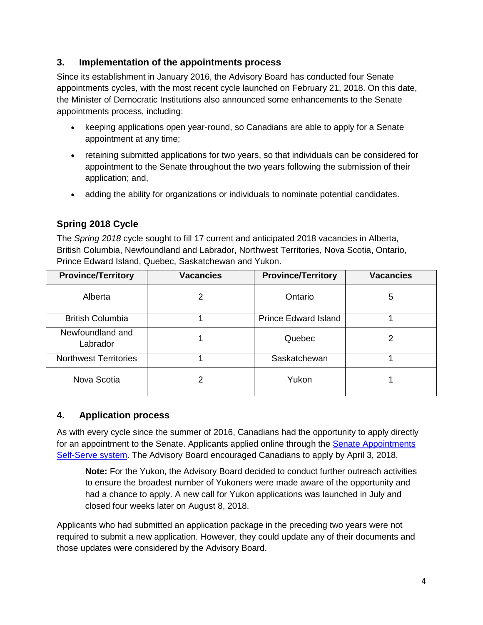# **3. Implementation of the appointments process**

Since its establishment in January 2016, the Advisory Board has conducted four Senate appointments cycles, with the most recent cycle launched on February 21, 2018. On this date, the Minister of Democratic Institutions also announced some enhancements to the Senate appointments process, including:

- keeping applications open year-round, so Canadians are able to apply for a Senate appointment at any time;
- retaining submitted applications for two years, so that individuals can be considered for appointment to the Senate throughout the two years following the submission of their application; and,
- adding the ability for organizations or individuals to nominate potential candidates.

# **Spring 2018 Cycle**

The *Spring 2018* cycle sought to fill 17 current and anticipated 2018 vacancies in Alberta, British Columbia, Newfoundland and Labrador, Northwest Territories, Nova Scotia, Ontario, Prince Edward Island, Quebec, Saskatchewan and Yukon.

| <b>Province/Territory</b>    | <b>Vacancies</b> | <b>Province/Territory</b>   | <b>Vacancies</b> |
|------------------------------|------------------|-----------------------------|------------------|
| Alberta                      | 2                | Ontario                     | 5                |
| <b>British Columbia</b>      |                  | <b>Prince Edward Island</b> |                  |
| Newfoundland and<br>Labrador |                  | Quebec                      | 2                |
| <b>Northwest Territories</b> |                  | Saskatchewan                |                  |
| Nova Scotia                  | 2                | Yukon                       |                  |

# <span id="page-3-0"></span>**4. Application process**

As with every cycle since the summer of 2016, Canadians had the opportunity to apply directly for an appointment to the Senate. Applicants applied online through the [Senate Appointments](https://senate-appointments.canada.ca/lgn.asp?lang=eng)  [Self-Serve system.](https://senate-appointments.canada.ca/lgn.asp?lang=eng) The Advisory Board encouraged Canadians to apply by April 3, 2018.

**Note:** For the Yukon, the Advisory Board decided to conduct further outreach activities to ensure the broadest number of Yukoners were made aware of the opportunity and had a chance to apply. A new call for Yukon applications was launched in July and closed four weeks later on August 8, 2018.

Applicants who had submitted an application package in the preceding two years were not required to submit a new application. However, they could update any of their documents and those updates were considered by the Advisory Board.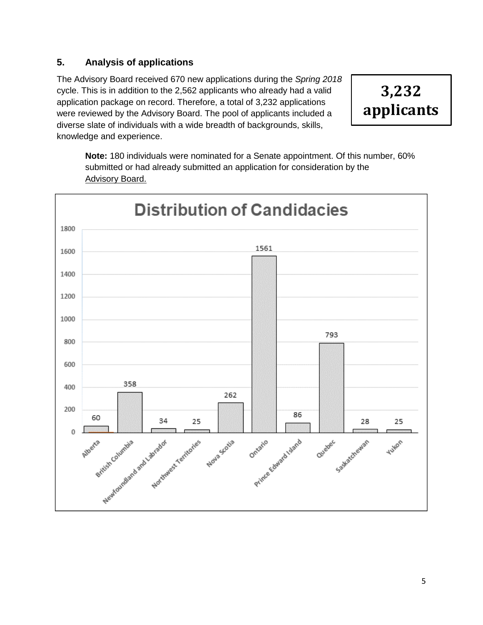# <span id="page-4-0"></span>**5. Analysis of applications**

The Advisory Board received 670 new applications during the *Spring 2018* cycle. This is in addition to the 2,562 applicants who already had a valid application package on record. Therefore, a total of 3,232 applications were reviewed by the Advisory Board. The pool of applicants included a diverse slate of individuals with a wide breadth of backgrounds, skills, knowledge and experience.

# **3,232 applicants**

**Note:** 180 individuals were nominated for a Senate appointment. Of this number, 60% submitted or had already submitted an application for consideration by the Advisory Board.

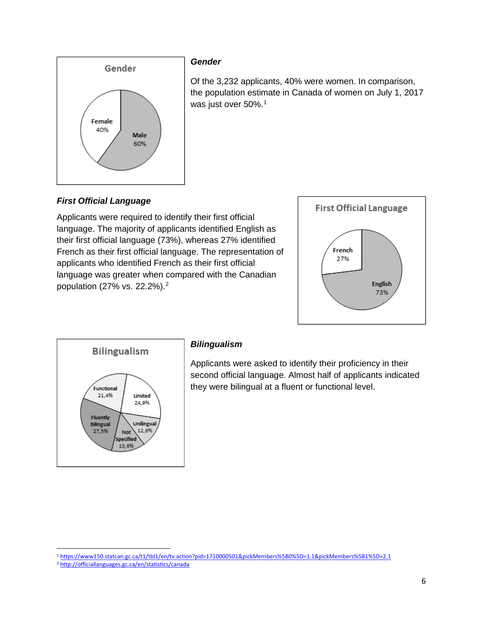

#### *Gender*

Of the 3,232 applicants, 40% were women. In comparison, the population estimate in Canada of women on July 1, 2017 was just over 50%. [1](#page-5-0)

# *First Official Language*

Applicants were required to identify their first official language. The majority of applicants identified English as their first official language (73%), whereas 27% identified French as their first official language. The representation of applicants who identified French as their first official language was greater when compared with the Canadian population (27% vs. 22.2%).[2](#page-5-1)





#### *Bilingualism*

Applicants were asked to identify their proficiency in their second official language. Almost half of applicants indicated they were bilingual at a fluent or functional level.

<span id="page-5-0"></span> <sup>1</sup> <https://www150.statcan.gc.ca/t1/tbl1/en/tv.action?pid=1710000501&pickMembers%5B0%5D=1.1&pickMembers%5B1%5D=2.1>

<span id="page-5-1"></span><sup>2</sup> <http://officiallanguages.gc.ca/en/statistics/canada>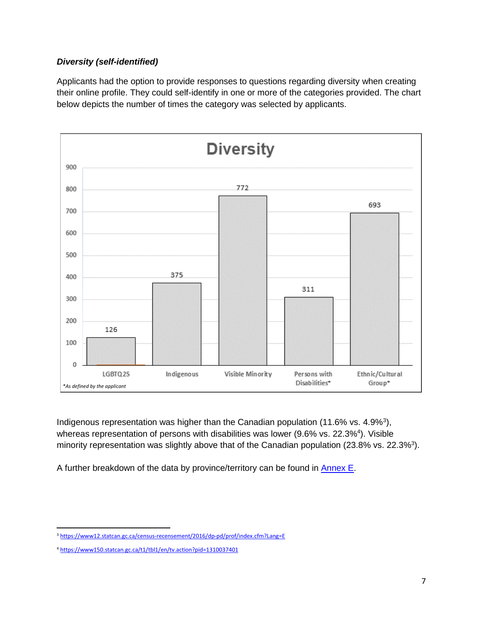# *Diversity (self-identified)*

Applicants had the option to provide responses to questions regarding diversity when creating their online profile. They could self-identify in one or more of the categories provided. The chart below depicts the number of times the category was selected by applicants.



Indigenous representation was higher than the Canadian population (11.6% vs. 4.9%<sup>[3](#page-6-1)</sup>), whereas representation of persons with disabilities was lower (9.6% vs. 22.3%<sup>4</sup>). Visible minority representation was slightly above that of the Canadian population (23.8% vs. 22.3%<sup>3</sup>).

A further breakdown of the data by province/territory can be found in [Annex E.](#page-28-0)

<span id="page-6-1"></span><span id="page-6-0"></span> <sup>3</sup> <https://www12.statcan.gc.ca/census-recensement/2016/dp-pd/prof/index.cfm?Lang=E>

<sup>4</sup> <https://www150.statcan.gc.ca/t1/tbl1/en/tv.action?pid=1310037401>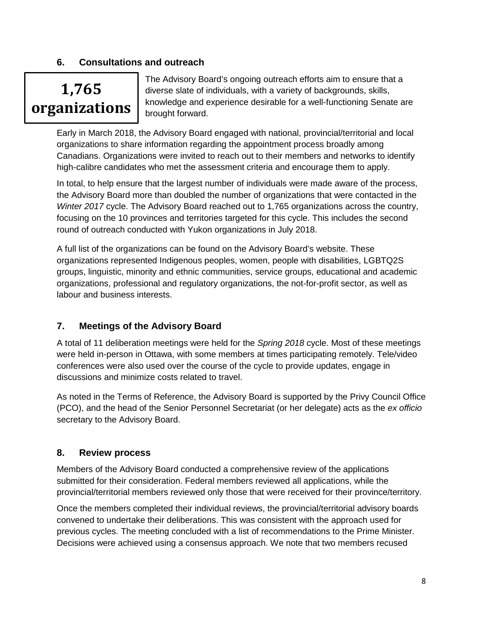# **6. Consultations and outreach**

# **1,765 organizations**

The Advisory Board's ongoing outreach efforts aim to ensure that a diverse slate of individuals, with a variety of backgrounds, skills, knowledge and experience desirable for a well-functioning Senate are brought forward.

Early in March 2018, the Advisory Board engaged with national, provincial/territorial and local organizations to share information regarding the appointment process broadly among Canadians. Organizations were invited to reach out to their members and networks to identify high-calibre candidates who met the assessment criteria and encourage them to apply.

In total, to help ensure that the largest number of individuals were made aware of the process, the Advisory Board more than doubled the number of organizations that were contacted in the *Winter 2017* cycle. The Advisory Board reached out to 1,765 organizations across the country, focusing on the 10 provinces and territories targeted for this cycle. This includes the second round of outreach conducted with Yukon organizations in July 2018.

A full list of the organizations can be found on the Advisory Board's website. These organizations represented Indigenous peoples, women, people with disabilities, LGBTQ2S groups, linguistic, minority and ethnic communities, service groups, educational and academic organizations, professional and regulatory organizations, the not-for-profit sector, as well as labour and business interests.

# <span id="page-7-0"></span>**7. Meetings of the Advisory Board**

A total of 11 deliberation meetings were held for the *Spring 2018* cycle. Most of these meetings were held in-person in Ottawa, with some members at times participating remotely. Tele/video conferences were also used over the course of the cycle to provide updates, engage in discussions and minimize costs related to travel.

As noted in the Terms of Reference, the Advisory Board is supported by the Privy Council Office (PCO), and the head of the Senior Personnel Secretariat (or her delegate) acts as the *ex officio* secretary to the Advisory Board.

# <span id="page-7-1"></span>**8. Review process**

Members of the Advisory Board conducted a comprehensive review of the applications submitted for their consideration. Federal members reviewed all applications, while the provincial/territorial members reviewed only those that were received for their province/territory.

Once the members completed their individual reviews, the provincial/territorial advisory boards convened to undertake their deliberations. This was consistent with the approach used for previous cycles. The meeting concluded with a list of recommendations to the Prime Minister. Decisions were achieved using a consensus approach. We note that two members recused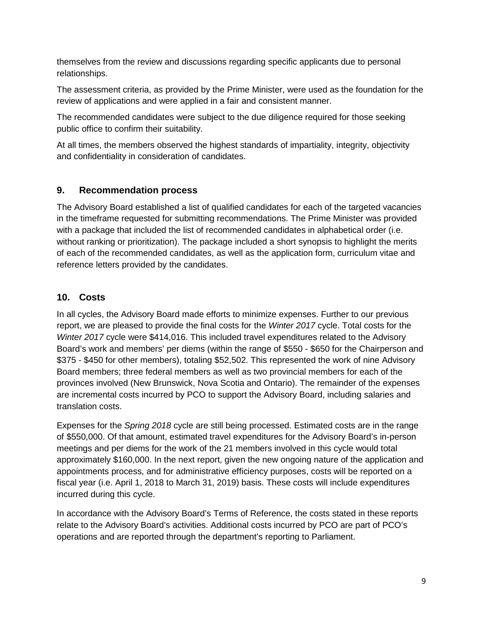themselves from the review and discussions regarding specific applicants due to personal relationships.

The assessment criteria, as provided by the Prime Minister, were used as the foundation for the review of applications and were applied in a fair and consistent manner.

The recommended candidates were subject to the due diligence required for those seeking public office to confirm their suitability.

At all times, the members observed the highest standards of impartiality, integrity, objectivity and confidentiality in consideration of candidates.

# <span id="page-8-0"></span>**9. Recommendation process**

The Advisory Board established a list of qualified candidates for each of the targeted vacancies in the timeframe requested for submitting recommendations. The Prime Minister was provided with a package that included the list of recommended candidates in alphabetical order (i.e. without ranking or prioritization). The package included a short synopsis to highlight the merits of each of the recommended candidates, as well as the application form, curriculum vitae and reference letters provided by the candidates.

# <span id="page-8-1"></span>**10. Costs**

In all cycles, the Advisory Board made efforts to minimize expenses. Further to our previous report, we are pleased to provide the final costs for the *Winter 2017* cycle. Total costs for the *Winter 2017* cycle were \$414,016. This included travel expenditures related to the Advisory Board's work and members' per diems (within the range of \$550 - \$650 for the Chairperson and \$375 - \$450 for other members), totaling \$52,502. This represented the work of nine Advisory Board members; three federal members as well as two provincial members for each of the provinces involved (New Brunswick, Nova Scotia and Ontario). The remainder of the expenses are incremental costs incurred by PCO to support the Advisory Board, including salaries and translation costs.

Expenses for the *Spring 2018* cycle are still being processed. Estimated costs are in the range of \$550,000. Of that amount, estimated travel expenditures for the Advisory Board's in-person meetings and per diems for the work of the 21 members involved in this cycle would total approximately \$160,000. In the next report, given the new ongoing nature of the application and appointments process, and for administrative efficiency purposes, costs will be reported on a fiscal year (i.e. April 1, 2018 to March 31, 2019) basis. These costs will include expenditures incurred during this cycle.

<span id="page-8-2"></span>In accordance with the Advisory Board's Terms of Reference, the costs stated in these reports relate to the Advisory Board's activities. Additional costs incurred by PCO are part of PCO's operations and are reported through the department's reporting to Parliament.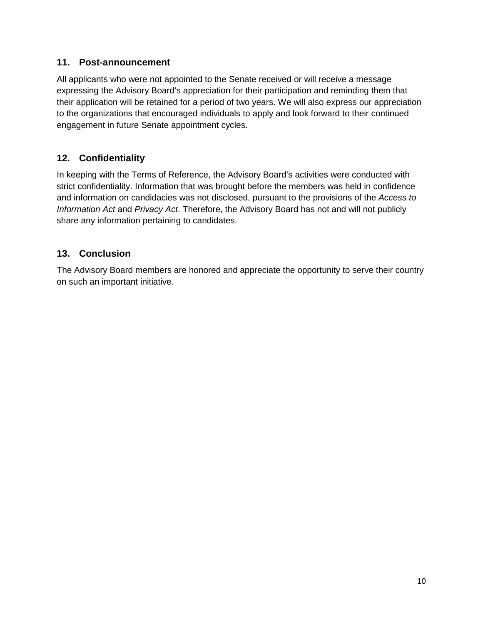## **11. Post-announcement**

All applicants who were not appointed to the Senate received or will receive a message expressing the Advisory Board's appreciation for their participation and reminding them that their application will be retained for a period of two years. We will also express our appreciation to the organizations that encouraged individuals to apply and look forward to their continued engagement in future Senate appointment cycles.

# <span id="page-9-0"></span>**12. Confidentiality**

In keeping with the Terms of Reference, the Advisory Board's activities were conducted with strict confidentiality. Information that was brought before the members was held in confidence and information on candidacies was not disclosed, pursuant to the provisions of the *Access to Information Act* and *Privacy Act*. Therefore, the Advisory Board has not and will not publicly share any information pertaining to candidates.

# <span id="page-9-1"></span>**13. Conclusion**

The Advisory Board members are honored and appreciate the opportunity to serve their country on such an important initiative.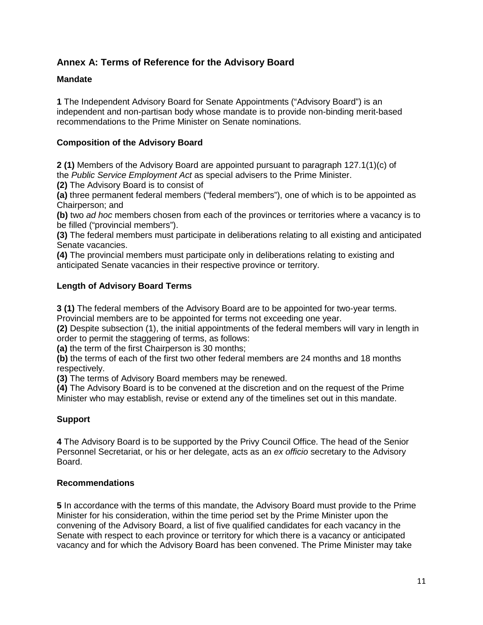# <span id="page-10-0"></span>**Annex A: Terms of Reference for the Advisory Board**

#### **Mandate**

**1** The Independent Advisory Board for Senate Appointments ("Advisory Board") is an independent and non-partisan body whose mandate is to provide non-binding merit-based recommendations to the Prime Minister on Senate nominations.

#### **Composition of the Advisory Board**

**2 (1)** Members of the Advisory Board are appointed pursuant to paragraph 127.1(1)(c) of the *Public Service Employment Act* as special advisers to the Prime Minister.

**(2)** The Advisory Board is to consist of

**(a)** three permanent federal members ("federal members"), one of which is to be appointed as Chairperson; and

**(b)** two *ad hoc* members chosen from each of the provinces or territories where a vacancy is to be filled ("provincial members").

**(3)** The federal members must participate in deliberations relating to all existing and anticipated Senate vacancies.

**(4)** The provincial members must participate only in deliberations relating to existing and anticipated Senate vacancies in their respective province or territory.

#### **Length of Advisory Board Terms**

**3 (1)** The federal members of the Advisory Board are to be appointed for two-year terms.

Provincial members are to be appointed for terms not exceeding one year.

**(2)** Despite subsection (1), the initial appointments of the federal members will vary in length in order to permit the staggering of terms, as follows:

**(a)** the term of the first Chairperson is 30 months;

**(b)** the terms of each of the first two other federal members are 24 months and 18 months respectively.

**(3)** The terms of Advisory Board members may be renewed.

**(4)** The Advisory Board is to be convened at the discretion and on the request of the Prime Minister who may establish, revise or extend any of the timelines set out in this mandate.

#### **Support**

**4** The Advisory Board is to be supported by the Privy Council Office. The head of the Senior Personnel Secretariat, or his or her delegate, acts as an *ex officio* secretary to the Advisory Board.

#### **Recommendations**

**5** In accordance with the terms of this mandate, the Advisory Board must provide to the Prime Minister for his consideration, within the time period set by the Prime Minister upon the convening of the Advisory Board, a list of five qualified candidates for each vacancy in the Senate with respect to each province or territory for which there is a vacancy or anticipated vacancy and for which the Advisory Board has been convened. The Prime Minister may take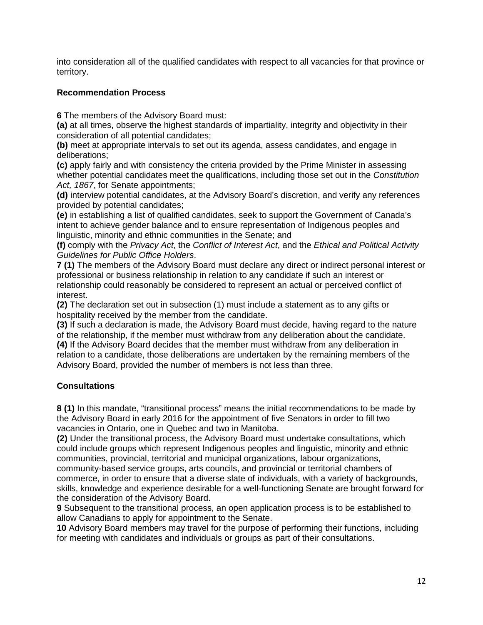into consideration all of the qualified candidates with respect to all vacancies for that province or territory.

#### **Recommendation Process**

**6** The members of the Advisory Board must:

**(a)** at all times, observe the highest standards of impartiality, integrity and objectivity in their consideration of all potential candidates;

**(b)** meet at appropriate intervals to set out its agenda, assess candidates, and engage in deliberations;

**(c)** apply fairly and with consistency the criteria provided by the Prime Minister in assessing whether potential candidates meet the qualifications, including those set out in the *Constitution Act, 1867*, for Senate appointments;

**(d)** interview potential candidates, at the Advisory Board's discretion, and verify any references provided by potential candidates;

**(e)** in establishing a list of qualified candidates, seek to support the Government of Canada's intent to achieve gender balance and to ensure representation of Indigenous peoples and linguistic, minority and ethnic communities in the Senate; and

**(f)** comply with the *Privacy Act*, the *Conflict of Interest Act*, and the *Ethical and Political Activity Guidelines for Public Office Holders*.

**7 (1)** The members of the Advisory Board must declare any direct or indirect personal interest or professional or business relationship in relation to any candidate if such an interest or relationship could reasonably be considered to represent an actual or perceived conflict of interest.

**(2)** The declaration set out in subsection (1) must include a statement as to any gifts or hospitality received by the member from the candidate.

**(3)** If such a declaration is made, the Advisory Board must decide, having regard to the nature of the relationship, if the member must withdraw from any deliberation about the candidate. **(4)** If the Advisory Board decides that the member must withdraw from any deliberation in relation to a candidate, those deliberations are undertaken by the remaining members of the Advisory Board, provided the number of members is not less than three.

#### **Consultations**

**8 (1)** In this mandate, "transitional process" means the initial recommendations to be made by the Advisory Board in early 2016 for the appointment of five Senators in order to fill two vacancies in Ontario, one in Quebec and two in Manitoba.

**(2)** Under the transitional process, the Advisory Board must undertake consultations, which could include groups which represent Indigenous peoples and linguistic, minority and ethnic communities, provincial, territorial and municipal organizations, labour organizations, community-based service groups, arts councils, and provincial or territorial chambers of commerce, in order to ensure that a diverse slate of individuals, with a variety of backgrounds,

skills, knowledge and experience desirable for a well-functioning Senate are brought forward for the consideration of the Advisory Board.

**9** Subsequent to the transitional process, an open application process is to be established to allow Canadians to apply for appointment to the Senate.

**10** Advisory Board members may travel for the purpose of performing their functions, including for meeting with candidates and individuals or groups as part of their consultations.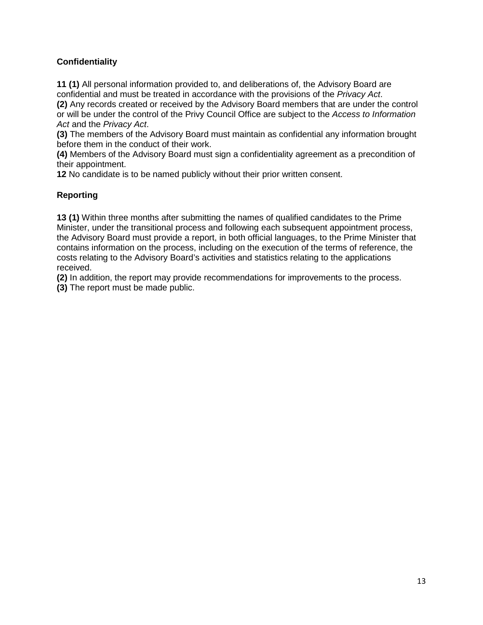#### **Confidentiality**

**11 (1)** All personal information provided to, and deliberations of, the Advisory Board are confidential and must be treated in accordance with the provisions of the *Privacy Act*. **(2)** Any records created or received by the Advisory Board members that are under the control

or will be under the control of the Privy Council Office are subject to the *Access to Information Act* and the *Privacy Act*.

**(3)** The members of the Advisory Board must maintain as confidential any information brought before them in the conduct of their work.

**(4)** Members of the Advisory Board must sign a confidentiality agreement as a precondition of their appointment.

**12** No candidate is to be named publicly without their prior written consent.

# **Reporting**

**13 (1)** Within three months after submitting the names of qualified candidates to the Prime Minister, under the transitional process and following each subsequent appointment process, the Advisory Board must provide a report, in both official languages, to the Prime Minister that contains information on the process, including on the execution of the terms of reference, the costs relating to the Advisory Board's activities and statistics relating to the applications received.

**(2)** In addition, the report may provide recommendations for improvements to the process. **(3)** The report must be made public.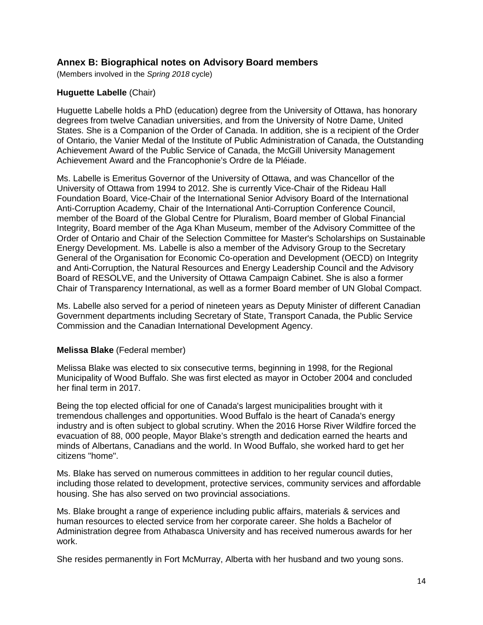#### <span id="page-13-0"></span>**Annex B: Biographical notes on Advisory Board members**

(Members involved in the *Spring 2018* cycle)

#### **Huguette Labelle** (Chair)

Huguette Labelle holds a PhD (education) degree from the University of Ottawa, has honorary degrees from twelve Canadian universities, and from the University of Notre Dame, United States. She is a Companion of the Order of Canada. In addition, she is a recipient of the Order of Ontario, the Vanier Medal of the Institute of Public Administration of Canada, the Outstanding Achievement Award of the Public Service of Canada, the McGill University Management Achievement Award and the Francophonie's Ordre de la Pléiade.

Ms. Labelle is Emeritus Governor of the University of Ottawa, and was Chancellor of the University of Ottawa from 1994 to 2012. She is currently Vice-Chair of the Rideau Hall Foundation Board, Vice-Chair of the International Senior Advisory Board of the International Anti-Corruption Academy, Chair of the International Anti-Corruption Conference Council, member of the Board of the Global Centre for Pluralism, Board member of Global Financial Integrity, Board member of the Aga Khan Museum, member of the Advisory Committee of the Order of Ontario and Chair of the Selection Committee for Master's Scholarships on Sustainable Energy Development. Ms. Labelle is also a member of the Advisory Group to the Secretary General of the Organisation for Economic Co-operation and Development (OECD) on Integrity and Anti-Corruption, the Natural Resources and Energy Leadership Council and the Advisory Board of RESOLVE, and the University of Ottawa Campaign Cabinet. She is also a former Chair of Transparency International, as well as a former Board member of UN Global Compact.

Ms. Labelle also served for a period of nineteen years as Deputy Minister of different Canadian Government departments including Secretary of State, Transport Canada, the Public Service Commission and the Canadian International Development Agency.

#### **Melissa Blake** (Federal member)

Melissa Blake was elected to six consecutive terms, beginning in 1998, for the Regional Municipality of Wood Buffalo. She was first elected as mayor in October 2004 and concluded her final term in 2017.

Being the top elected official for one of Canada's largest municipalities brought with it tremendous challenges and opportunities. Wood Buffalo is the heart of Canada's energy industry and is often subject to global scrutiny. When the 2016 Horse River Wildfire forced the evacuation of 88, 000 people, Mayor Blake's strength and dedication earned the hearts and minds of Albertans, Canadians and the world. In Wood Buffalo, she worked hard to get her citizens "home".

Ms. Blake has served on numerous committees in addition to her regular council duties, including those related to development, protective services, community services and affordable housing. She has also served on two provincial associations.

Ms. Blake brought a range of experience including public affairs, materials & services and human resources to elected service from her corporate career. She holds a Bachelor of Administration degree from Athabasca University and has received numerous awards for her work.

She resides permanently in Fort McMurray, Alberta with her husband and two young sons.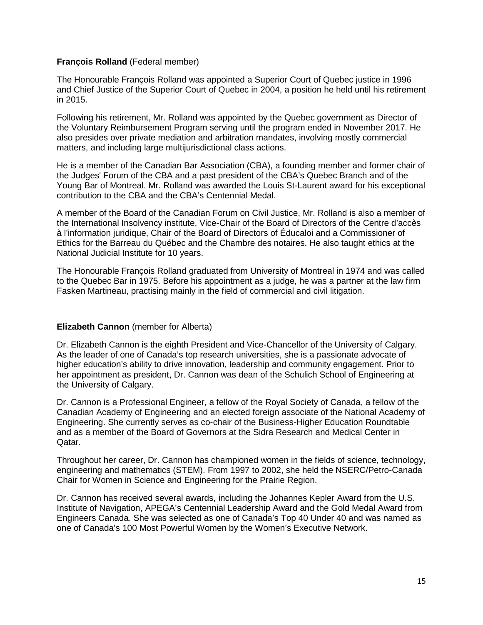#### **François Rolland** (Federal member)

The Honourable François Rolland was appointed a Superior Court of Quebec justice in 1996 and Chief Justice of the Superior Court of Quebec in 2004, a position he held until his retirement in 2015.

Following his retirement, Mr. Rolland was appointed by the Quebec government as Director of the Voluntary Reimbursement Program serving until the program ended in November 2017. He also presides over private mediation and arbitration mandates, involving mostly commercial matters, and including large multijurisdictional class actions.

He is a member of the Canadian Bar Association (CBA), a founding member and former chair of the Judges' Forum of the CBA and a past president of the CBA's Quebec Branch and of the Young Bar of Montreal. Mr. Rolland was awarded the Louis St-Laurent award for his exceptional contribution to the CBA and the CBA's Centennial Medal.

A member of the Board of the Canadian Forum on Civil Justice, Mr. Rolland is also a member of the International Insolvency institute, Vice-Chair of the Board of Directors of the Centre d'accès à l'information juridique, Chair of the Board of Directors of Éducaloi and a Commissioner of Ethics for the Barreau du Québec and the Chambre des notaires. He also taught ethics at the National Judicial Institute for 10 years.

The Honourable François Rolland graduated from University of Montreal in 1974 and was called to the Quebec Bar in 1975. Before his appointment as a judge, he was a partner at the law firm Fasken Martineau, practising mainly in the field of commercial and civil litigation.

#### **Elizabeth Cannon** (member for Alberta)

Dr. Elizabeth Cannon is the eighth President and Vice-Chancellor of the University of Calgary. As the leader of one of Canada's top research universities, she is a passionate advocate of higher education's ability to drive innovation, leadership and community engagement. Prior to her appointment as president, Dr. Cannon was dean of the Schulich School of Engineering at the University of Calgary.

Dr. Cannon is a Professional Engineer, a fellow of the Royal Society of Canada, a fellow of the Canadian Academy of Engineering and an elected foreign associate of the National Academy of Engineering. She currently serves as co-chair of the Business-Higher Education Roundtable and as a member of the Board of Governors at the Sidra Research and Medical Center in Qatar.

Throughout her career, Dr. Cannon has championed women in the fields of science, technology, engineering and mathematics (STEM). From 1997 to 2002, she held the NSERC/Petro-Canada Chair for Women in Science and Engineering for the Prairie Region.

Dr. Cannon has received several awards, including the Johannes Kepler Award from the U.S. Institute of Navigation, APEGA's Centennial Leadership Award and the Gold Medal Award from Engineers Canada. She was selected as one of Canada's Top 40 Under 40 and was named as one of Canada's 100 Most Powerful Women by the Women's Executive Network.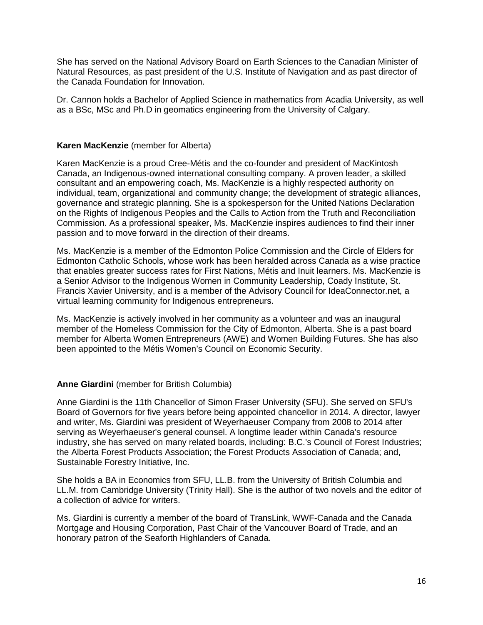She has served on the National Advisory Board on Earth Sciences to the Canadian Minister of Natural Resources, as past president of the U.S. Institute of Navigation and as past director of the Canada Foundation for Innovation.

Dr. Cannon holds a Bachelor of Applied Science in mathematics from Acadia University, as well as a BSc, MSc and Ph.D in geomatics engineering from the University of Calgary.

#### **Karen MacKenzie** (member for Alberta)

Karen MacKenzie is a proud Cree-Métis and the co-founder and president of MacKintosh Canada, an Indigenous-owned international consulting company. A proven leader, a skilled consultant and an empowering coach, Ms. MacKenzie is a highly respected authority on individual, team, organizational and community change; the development of strategic alliances, governance and strategic planning. She is a spokesperson for the United Nations Declaration on the Rights of Indigenous Peoples and the Calls to Action from the Truth and Reconciliation Commission. As a professional speaker, Ms. MacKenzie inspires audiences to find their inner passion and to move forward in the direction of their dreams.

Ms. MacKenzie is a member of the Edmonton Police Commission and the Circle of Elders for Edmonton Catholic Schools, whose work has been heralded across Canada as a wise practice that enables greater success rates for First Nations, Métis and Inuit learners. Ms. MacKenzie is a Senior Advisor to the Indigenous Women in Community Leadership, Coady Institute, St. Francis Xavier University, and is a member of the Advisory Council for IdeaConnector.net, a virtual learning community for Indigenous entrepreneurs.

Ms. MacKenzie is actively involved in her community as a volunteer and was an inaugural member of the Homeless Commission for the City of Edmonton, Alberta. She is a past board member for Alberta Women Entrepreneurs (AWE) and Women Building Futures. She has also been appointed to the Métis Women's Council on Economic Security.

#### **Anne Giardini** (member for British Columbia)

Anne Giardini is the 11th Chancellor of Simon Fraser University (SFU). She served on SFU's Board of Governors for five years before being appointed chancellor in 2014. A director, lawyer and writer, Ms. Giardini was president of Weyerhaeuser Company from 2008 to 2014 after serving as Weyerhaeuser's general counsel. A longtime leader within Canada's resource industry, she has served on many related boards, including: B.C.'s Council of Forest Industries; the Alberta Forest Products Association; the Forest Products Association of Canada; and, Sustainable Forestry Initiative, Inc.

She holds a BA in Economics from SFU, LL.B. from the University of British Columbia and LL.M. from Cambridge University (Trinity Hall). She is the author of two novels and the editor of a collection of advice for writers.

Ms. Giardini is currently a member of the board of TransLink, WWF-Canada and the Canada Mortgage and Housing Corporation, Past Chair of the Vancouver Board of Trade, and an honorary patron of the Seaforth Highlanders of Canada.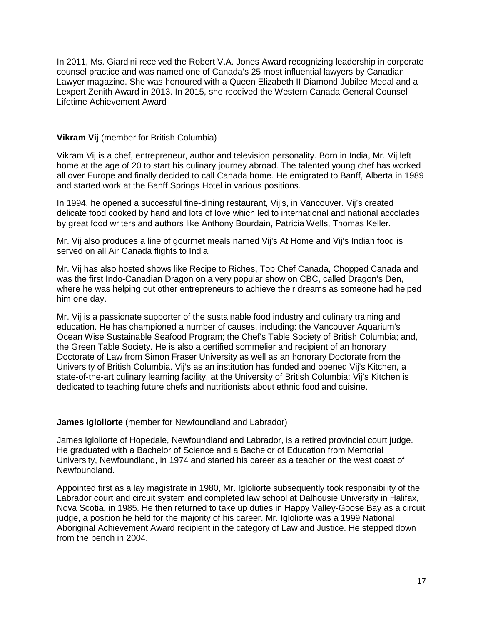In 2011, Ms. Giardini received the Robert V.A. Jones Award recognizing leadership in corporate counsel practice and was named one of Canada's 25 most influential lawyers by Canadian Lawyer magazine. She was honoured with a Queen Elizabeth II Diamond Jubilee Medal and a Lexpert Zenith Award in 2013. In 2015, she received the Western Canada General Counsel Lifetime Achievement Award

#### **Vikram Vij** (member for British Columbia)

Vikram Vij is a chef, entrepreneur, author and television personality. Born in India, Mr. Vij left home at the age of 20 to start his culinary journey abroad. The talented young chef has worked all over Europe and finally decided to call Canada home. He emigrated to Banff, Alberta in 1989 and started work at the Banff Springs Hotel in various positions.

In 1994, he opened a successful fine-dining restaurant, Vij's, in Vancouver. Vij's created delicate food cooked by hand and lots of love which led to international and national accolades by great food writers and authors like Anthony Bourdain, Patricia Wells, Thomas Keller.

Mr. Vij also produces a line of gourmet meals named Vij's At Home and Vij's Indian food is served on all Air Canada flights to India.

Mr. Vij has also hosted shows like Recipe to Riches, Top Chef Canada, Chopped Canada and was the first Indo-Canadian Dragon on a very popular show on CBC, called Dragon's Den, where he was helping out other entrepreneurs to achieve their dreams as someone had helped him one day.

Mr. Vij is a passionate supporter of the sustainable food industry and culinary training and education. He has championed a number of causes, including: the Vancouver Aquarium's Ocean Wise Sustainable Seafood Program; the Chef's Table Society of British Columbia; and, the Green Table Society. He is also a certified sommelier and recipient of an honorary Doctorate of Law from Simon Fraser University as well as an honorary Doctorate from the University of British Columbia. Vij's as an institution has funded and opened Vij's Kitchen, a state-of-the-art culinary learning facility, at the University of British Columbia; Vij's Kitchen is dedicated to teaching future chefs and nutritionists about ethnic food and cuisine.

#### **James Igloliorte** (member for Newfoundland and Labrador)

James Igloliorte of Hopedale, Newfoundland and Labrador, is a retired provincial court judge. He graduated with a Bachelor of Science and a Bachelor of Education from Memorial University, Newfoundland, in 1974 and started his career as a teacher on the west coast of Newfoundland.

Appointed first as a lay magistrate in 1980, Mr. Igloliorte subsequently took responsibility of the Labrador court and circuit system and completed law school at Dalhousie University in Halifax, Nova Scotia, in 1985. He then returned to take up duties in Happy Valley-Goose Bay as a circuit judge, a position he held for the majority of his career. Mr. Igloliorte was a 1999 National Aboriginal Achievement Award recipient in the category of Law and Justice. He stepped down from the bench in 2004.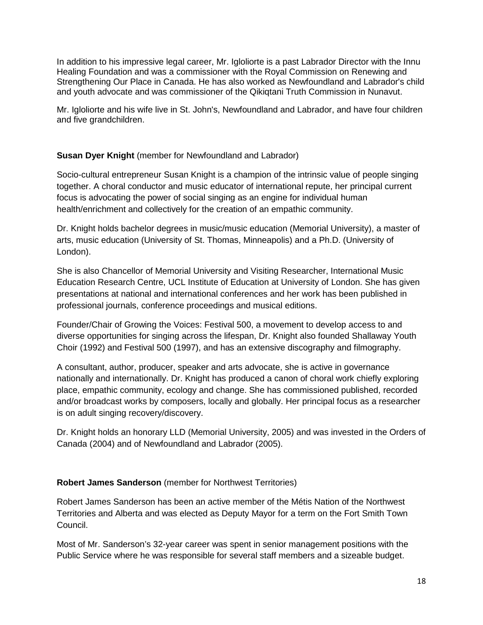In addition to his impressive legal career, Mr. Igloliorte is a past Labrador Director with the Innu Healing Foundation and was a commissioner with the Royal Commission on Renewing and Strengthening Our Place in Canada. He has also worked as Newfoundland and Labrador's child and youth advocate and was commissioner of the Qikiqtani Truth Commission in Nunavut.

Mr. Igloliorte and his wife live in St. John's, Newfoundland and Labrador, and have four children and five grandchildren.

#### **Susan Dyer Knight** (member for Newfoundland and Labrador)

Socio-cultural entrepreneur Susan Knight is a champion of the intrinsic value of people singing together. A choral conductor and music educator of international repute, her principal current focus is advocating the power of social singing as an engine for individual human health/enrichment and collectively for the creation of an empathic community.

Dr. Knight holds bachelor degrees in music/music education (Memorial University), a master of arts, music education (University of St. Thomas, Minneapolis) and a Ph.D. (University of London).

She is also Chancellor of Memorial University and Visiting Researcher, International Music Education Research Centre, UCL Institute of Education at University of London. She has given presentations at national and international conferences and her work has been published in professional journals, conference proceedings and musical editions.

Founder/Chair of Growing the Voices: Festival 500, a movement to develop access to and diverse opportunities for singing across the lifespan, Dr. Knight also founded Shallaway Youth Choir (1992) and Festival 500 (1997), and has an extensive discography and filmography.

A consultant, author, producer, speaker and arts advocate, she is active in governance nationally and internationally. Dr. Knight has produced a canon of choral work chiefly exploring place, empathic community, ecology and change. She has commissioned published, recorded and/or broadcast works by composers, locally and globally. Her principal focus as a researcher is on adult singing recovery/discovery.

Dr. Knight holds an honorary LLD (Memorial University, 2005) and was invested in the Orders of Canada (2004) and of Newfoundland and Labrador (2005).

#### **Robert James Sanderson** (member for Northwest Territories)

Robert James Sanderson has been an active member of the Métis Nation of the Northwest Territories and Alberta and was elected as Deputy Mayor for a term on the Fort Smith Town Council.

Most of Mr. Sanderson's 32-year career was spent in senior management positions with the Public Service where he was responsible for several staff members and a sizeable budget.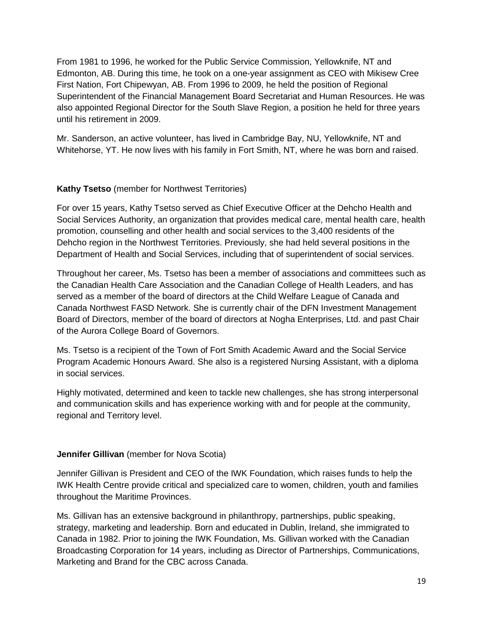From 1981 to 1996, he worked for the Public Service Commission, Yellowknife, NT and Edmonton, AB. During this time, he took on a one-year assignment as CEO with Mikisew Cree First Nation, Fort Chipewyan, AB. From 1996 to 2009, he held the position of Regional Superintendent of the Financial Management Board Secretariat and Human Resources. He was also appointed Regional Director for the South Slave Region, a position he held for three years until his retirement in 2009.

Mr. Sanderson, an active volunteer, has lived in Cambridge Bay, NU, Yellowknife, NT and Whitehorse, YT. He now lives with his family in Fort Smith, NT, where he was born and raised.

#### **Kathy Tsetso** (member for Northwest Territories)

For over 15 years, Kathy Tsetso served as Chief Executive Officer at the Dehcho Health and Social Services Authority, an organization that provides medical care, mental health care, health promotion, counselling and other health and social services to the 3,400 residents of the Dehcho region in the Northwest Territories. Previously, she had held several positions in the Department of Health and Social Services, including that of superintendent of social services.

Throughout her career, Ms. Tsetso has been a member of associations and committees such as the Canadian Health Care Association and the Canadian College of Health Leaders, and has served as a member of the board of directors at the Child Welfare League of Canada and Canada Northwest FASD Network. She is currently chair of the DFN Investment Management Board of Directors, member of the board of directors at Nogha Enterprises, Ltd. and past Chair of the Aurora College Board of Governors.

Ms. Tsetso is a recipient of the Town of Fort Smith Academic Award and the Social Service Program Academic Honours Award. She also is a registered Nursing Assistant, with a diploma in social services.

Highly motivated, determined and keen to tackle new challenges, she has strong interpersonal and communication skills and has experience working with and for people at the community, regional and Territory level.

#### **Jennifer Gillivan** (member for Nova Scotia)

Jennifer Gillivan is President and CEO of the IWK Foundation, which raises funds to help the IWK Health Centre provide critical and specialized care to women, children, youth and families throughout the Maritime Provinces.

Ms. Gillivan has an extensive background in philanthropy, partnerships, public speaking, strategy, marketing and leadership. Born and educated in Dublin, Ireland, she immigrated to Canada in 1982. Prior to joining the IWK Foundation, Ms. Gillivan worked with the Canadian Broadcasting Corporation for 14 years, including as Director of Partnerships, Communications, Marketing and Brand for the CBC across Canada.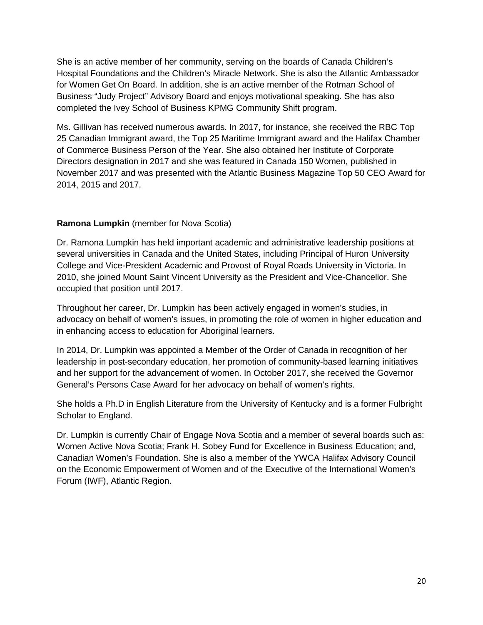She is an active member of her community, serving on the boards of Canada Children's Hospital Foundations and the Children's Miracle Network. She is also the Atlantic Ambassador for Women Get On Board. In addition, she is an active member of the Rotman School of Business "Judy Project" Advisory Board and enjoys motivational speaking. She has also completed the Ivey School of Business KPMG Community Shift program.

Ms. Gillivan has received numerous awards. In 2017, for instance, she received the RBC Top 25 Canadian Immigrant award, the Top 25 Maritime Immigrant award and the Halifax Chamber of Commerce Business Person of the Year. She also obtained her Institute of Corporate Directors designation in 2017 and she was featured in Canada 150 Women, published in November 2017 and was presented with the Atlantic Business Magazine Top 50 CEO Award for 2014, 2015 and 2017.

# **Ramona Lumpkin** (member for Nova Scotia)

Dr. Ramona Lumpkin has held important academic and administrative leadership positions at several universities in Canada and the United States, including Principal of Huron University College and Vice-President Academic and Provost of Royal Roads University in Victoria. In 2010, she joined Mount Saint Vincent University as the President and Vice-Chancellor. She occupied that position until 2017.

Throughout her career, Dr. Lumpkin has been actively engaged in women's studies, in advocacy on behalf of women's issues, in promoting the role of women in higher education and in enhancing access to education for Aboriginal learners.

In 2014, Dr. Lumpkin was appointed a Member of the Order of Canada in recognition of her leadership in post-secondary education, her promotion of community-based learning initiatives and her support for the advancement of women. In October 2017, she received the Governor General's Persons Case Award for her advocacy on behalf of women's rights.

She holds a Ph.D in English Literature from the University of Kentucky and is a former Fulbright Scholar to England.

Dr. Lumpkin is currently Chair of Engage Nova Scotia and a member of several boards such as: Women Active Nova Scotia; Frank H. Sobey Fund for Excellence in Business Education; and, Canadian Women's Foundation. She is also a member of the YWCA Halifax Advisory Council on the Economic Empowerment of Women and of the Executive of the International Women's Forum (IWF), Atlantic Region.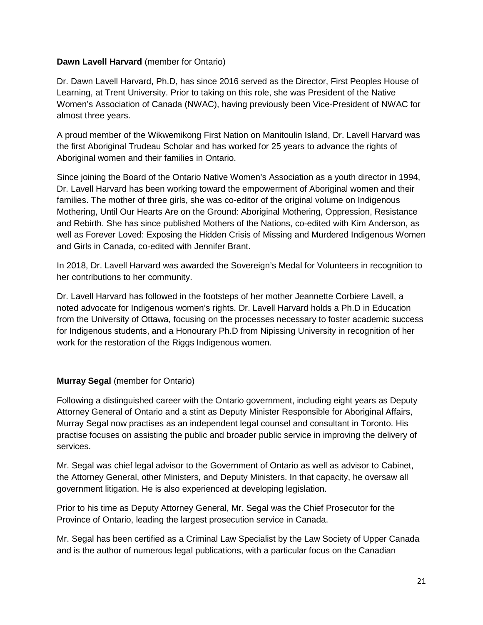#### **Dawn Lavell Harvard** (member for Ontario)

Dr. Dawn Lavell Harvard, Ph.D, has since 2016 served as the Director, First Peoples House of Learning, at Trent University. Prior to taking on this role, she was President of the Native Women's Association of Canada (NWAC), having previously been Vice-President of NWAC for almost three years.

A proud member of the Wikwemikong First Nation on Manitoulin Island, Dr. Lavell Harvard was the first Aboriginal Trudeau Scholar and has worked for 25 years to advance the rights of Aboriginal women and their families in Ontario.

Since joining the Board of the Ontario Native Women's Association as a youth director in 1994, Dr. Lavell Harvard has been working toward the empowerment of Aboriginal women and their families. The mother of three girls, she was co-editor of the original volume on Indigenous Mothering, Until Our Hearts Are on the Ground: Aboriginal Mothering, Oppression, Resistance and Rebirth. She has since published Mothers of the Nations, co-edited with Kim Anderson, as well as Forever Loved: Exposing the Hidden Crisis of Missing and Murdered Indigenous Women and Girls in Canada, co-edited with Jennifer Brant.

In 2018, Dr. Lavell Harvard was awarded the Sovereign's Medal for Volunteers in recognition to her contributions to her community.

Dr. Lavell Harvard has followed in the footsteps of her mother Jeannette Corbiere Lavell, a noted advocate for Indigenous women's rights. Dr. Lavell Harvard holds a Ph.D in Education from the University of Ottawa, focusing on the processes necessary to foster academic success for Indigenous students, and a Honourary Ph.D from Nipissing University in recognition of her work for the restoration of the Riggs Indigenous women.

#### **Murray Segal** (member for Ontario)

Following a distinguished career with the Ontario government, including eight years as Deputy Attorney General of Ontario and a stint as Deputy Minister Responsible for Aboriginal Affairs, Murray Segal now practises as an independent legal counsel and consultant in Toronto. His practise focuses on assisting the public and broader public service in improving the delivery of services.

Mr. Segal was chief legal advisor to the Government of Ontario as well as advisor to Cabinet, the Attorney General, other Ministers, and Deputy Ministers. In that capacity, he oversaw all government litigation. He is also experienced at developing legislation.

Prior to his time as Deputy Attorney General, Mr. Segal was the Chief Prosecutor for the Province of Ontario, leading the largest prosecution service in Canada.

Mr. Segal has been certified as a Criminal Law Specialist by the Law Society of Upper Canada and is the author of numerous legal publications, with a particular focus on the Canadian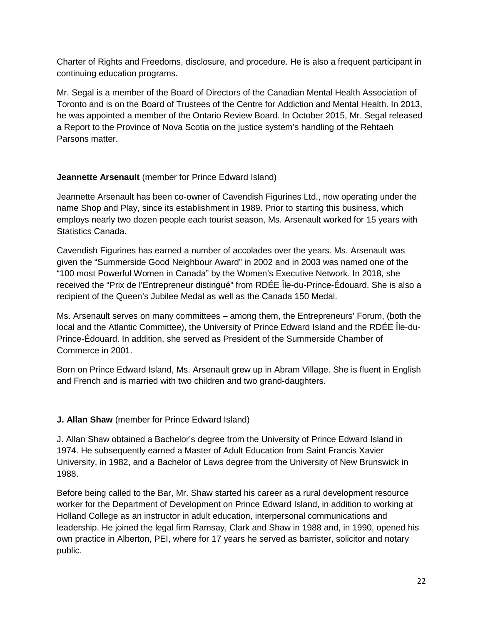Charter of Rights and Freedoms, disclosure, and procedure. He is also a frequent participant in continuing education programs.

Mr. Segal is a member of the Board of Directors of the Canadian Mental Health Association of Toronto and is on the Board of Trustees of the Centre for Addiction and Mental Health. In 2013, he was appointed a member of the Ontario Review Board. In October 2015, Mr. Segal released a Report to the Province of Nova Scotia on the justice system's handling of the Rehtaeh Parsons matter.

# **Jeannette Arsenault** (member for Prince Edward Island)

Jeannette Arsenault has been co-owner of Cavendish Figurines Ltd., now operating under the name Shop and Play, since its establishment in 1989. Prior to starting this business, which employs nearly two dozen people each tourist season, Ms. Arsenault worked for 15 years with Statistics Canada.

Cavendish Figurines has earned a number of accolades over the years. Ms. Arsenault was given the "Summerside Good Neighbour Award" in 2002 and in 2003 was named one of the "100 most Powerful Women in Canada" by the Women's Executive Network. In 2018, she received the "Prix de l'Entrepreneur distingué" from RDÉE Île-du-Prince-Édouard. She is also a recipient of the Queen's Jubilee Medal as well as the Canada 150 Medal.

Ms. Arsenault serves on many committees – among them, the Entrepreneurs' Forum, (both the local and the Atlantic Committee), the University of Prince Edward Island and the RDÉE Île-du-Prince-Édouard. In addition, she served as President of the Summerside Chamber of Commerce in 2001.

Born on Prince Edward Island, Ms. Arsenault grew up in Abram Village. She is fluent in English and French and is married with two children and two grand-daughters.

#### **J. Allan Shaw** (member for Prince Edward Island)

J. Allan Shaw obtained a Bachelor's degree from the University of Prince Edward Island in 1974. He subsequently earned a Master of Adult Education from Saint Francis Xavier University, in 1982, and a Bachelor of Laws degree from the University of New Brunswick in 1988.

Before being called to the Bar, Mr. Shaw started his career as a rural development resource worker for the Department of Development on Prince Edward Island, in addition to working at Holland College as an instructor in adult education, interpersonal communications and leadership. He joined the legal firm Ramsay, Clark and Shaw in 1988 and, in 1990, opened his own practice in Alberton, PEI, where for 17 years he served as barrister, solicitor and notary public.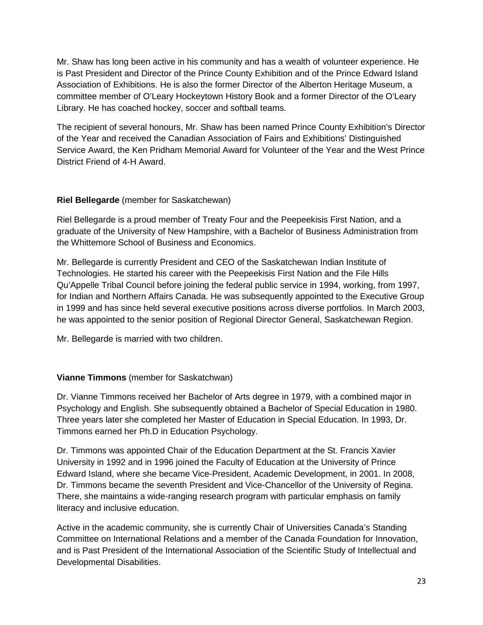Mr. Shaw has long been active in his community and has a wealth of volunteer experience. He is Past President and Director of the Prince County Exhibition and of the Prince Edward Island Association of Exhibitions. He is also the former Director of the Alberton Heritage Museum, a committee member of O'Leary Hockeytown History Book and a former Director of the O'Leary Library. He has coached hockey, soccer and softball teams.

The recipient of several honours, Mr. Shaw has been named Prince County Exhibition's Director of the Year and received the Canadian Association of Fairs and Exhibitions' Distinguished Service Award, the Ken Pridham Memorial Award for Volunteer of the Year and the West Prince District Friend of 4-H Award.

#### **Riel Bellegarde** (member for Saskatchewan)

Riel Bellegarde is a proud member of Treaty Four and the Peepeekisis First Nation, and a graduate of the University of New Hampshire, with a Bachelor of Business Administration from the Whittemore School of Business and Economics.

Mr. Bellegarde is currently President and CEO of the Saskatchewan Indian Institute of Technologies. He started his career with the Peepeekisis First Nation and the File Hills Qu'Appelle Tribal Council before joining the federal public service in 1994, working, from 1997, for Indian and Northern Affairs Canada. He was subsequently appointed to the Executive Group in 1999 and has since held several executive positions across diverse portfolios. In March 2003, he was appointed to the senior position of Regional Director General, Saskatchewan Region.

Mr. Bellegarde is married with two children.

# **Vianne Timmons** (member for Saskatchwan)

Dr. Vianne Timmons received her Bachelor of Arts degree in 1979, with a combined major in Psychology and English. She subsequently obtained a Bachelor of Special Education in 1980. Three years later she completed her Master of Education in Special Education. In 1993, Dr. Timmons earned her Ph.D in Education Psychology.

Dr. Timmons was appointed Chair of the Education Department at the St. Francis Xavier University in 1992 and in 1996 joined the Faculty of Education at the University of Prince Edward Island, where she became Vice-President, Academic Development, in 2001. In 2008, Dr. Timmons became the seventh President and Vice-Chancellor of the University of Regina. There, she maintains a wide-ranging research program with particular emphasis on family literacy and inclusive education.

Active in the academic community, she is currently Chair of Universities Canada's Standing Committee on International Relations and a member of the Canada Foundation for Innovation, and is Past President of the International Association of the Scientific Study of Intellectual and Developmental Disabilities.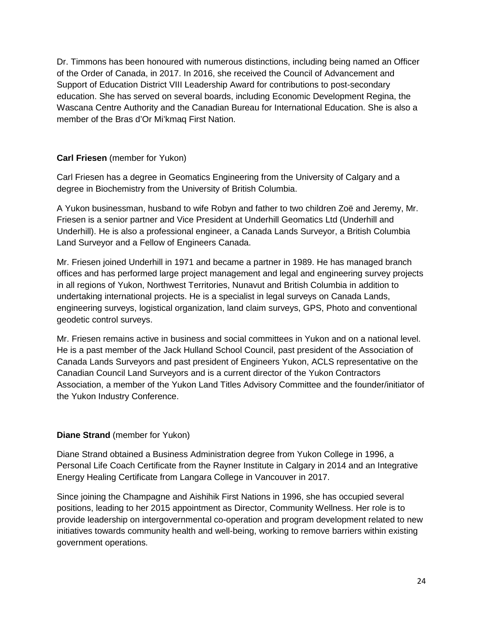Dr. Timmons has been honoured with numerous distinctions, including being named an Officer of the Order of Canada, in 2017. In 2016, she received the Council of Advancement and Support of Education District VIII Leadership Award for contributions to post-secondary education. She has served on several boards, including Economic Development Regina, the Wascana Centre Authority and the Canadian Bureau for International Education. She is also a member of the Bras d'Or Mi'kmaq First Nation.

# **Carl Friesen** (member for Yukon)

Carl Friesen has a degree in Geomatics Engineering from the University of Calgary and a degree in Biochemistry from the University of British Columbia.

A Yukon businessman, husband to wife Robyn and father to two children Zoë and Jeremy, Mr. Friesen is a senior partner and Vice President at Underhill Geomatics Ltd (Underhill and Underhill). He is also a professional engineer, a Canada Lands Surveyor, a British Columbia Land Surveyor and a Fellow of Engineers Canada.

Mr. Friesen joined Underhill in 1971 and became a partner in 1989. He has managed branch offices and has performed large project management and legal and engineering survey projects in all regions of Yukon, Northwest Territories, Nunavut and British Columbia in addition to undertaking international projects. He is a specialist in legal surveys on Canada Lands, engineering surveys, logistical organization, land claim surveys, GPS, Photo and conventional geodetic control surveys.

Mr. Friesen remains active in business and social committees in Yukon and on a national level. He is a past member of the Jack Hulland School Council, past president of the Association of Canada Lands Surveyors and past president of Engineers Yukon, ACLS representative on the Canadian Council Land Surveyors and is a current director of the Yukon Contractors Association, a member of the Yukon Land Titles Advisory Committee and the founder/initiator of the Yukon Industry Conference.

# **Diane Strand** (member for Yukon)

Diane Strand obtained a Business Administration degree from Yukon College in 1996, a Personal Life Coach Certificate from the Rayner Institute in Calgary in 2014 and an Integrative Energy Healing Certificate from Langara College in Vancouver in 2017.

Since joining the Champagne and Aishihik First Nations in 1996, she has occupied several positions, leading to her 2015 appointment as Director, Community Wellness. Her role is to provide leadership on intergovernmental co-operation and program development related to new initiatives towards community health and well-being, working to remove barriers within existing government operations.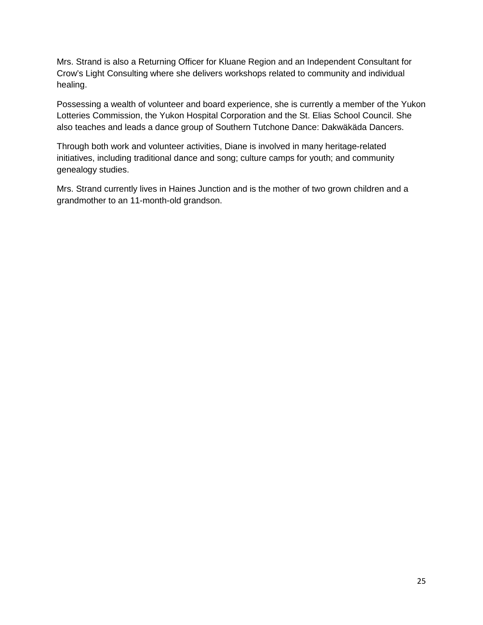Mrs. Strand is also a Returning Officer for Kluane Region and an Independent Consultant for Crow's Light Consulting where she delivers workshops related to community and individual healing.

Possessing a wealth of volunteer and board experience, she is currently a member of the Yukon Lotteries Commission, the Yukon Hospital Corporation and the St. Elias School Council. She also teaches and leads a dance group of Southern Tutchone Dance: Dakwäkäda Dancers.

Through both work and volunteer activities, Diane is involved in many heritage-related initiatives, including traditional dance and song; culture camps for youth; and community genealogy studies.

Mrs. Strand currently lives in Haines Junction and is the mother of two grown children and a grandmother to an 11-month-old grandson.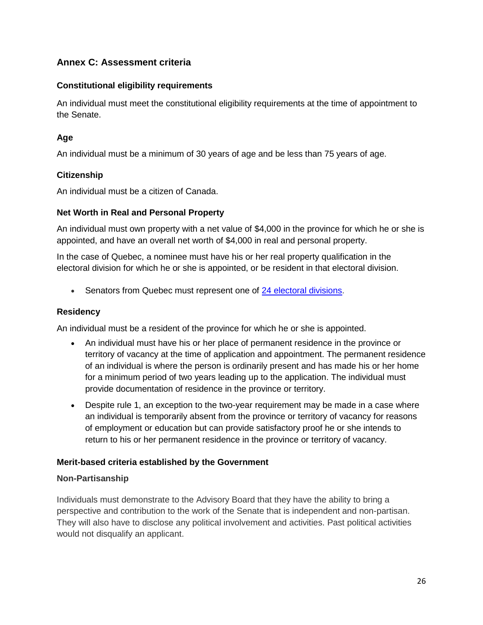# <span id="page-25-0"></span>**Annex C: Assessment criteria**

#### **Constitutional eligibility requirements**

An individual must meet the constitutional eligibility requirements at the time of appointment to the Senate.

## **Age**

An individual must be a minimum of 30 years of age and be less than 75 years of age.

#### **Citizenship**

An individual must be a citizen of Canada.

#### **Net Worth in Real and Personal Property**

An individual must own property with a net value of \$4,000 in the province for which he or she is appointed, and have an overall net worth of \$4,000 in real and personal property.

In the case of Quebec, a nominee must have his or her real property qualification in the electoral division for which he or she is appointed, or be resident in that electoral division.

• Senators from Quebec must represent one of [24 electoral divisions.](https://www.canada.ca/en/campaign/independent-advisory-board-for-senate-appointments/assessment-criteria/senatorial-divisions-of-quebec.html)

#### **Residency**

An individual must be a resident of the province for which he or she is appointed.

- An individual must have his or her place of permanent residence in the province or territory of vacancy at the time of application and appointment. The permanent residence of an individual is where the person is ordinarily present and has made his or her home for a minimum period of two years leading up to the application. The individual must provide documentation of residence in the province or territory.
- Despite rule 1, an exception to the two-year requirement may be made in a case where an individual is temporarily absent from the province or territory of vacancy for reasons of employment or education but can provide satisfactory proof he or she intends to return to his or her permanent residence in the province or territory of vacancy.

#### **Merit-based criteria established by the Government**

#### **Non-Partisanship**

Individuals must demonstrate to the Advisory Board that they have the ability to bring a perspective and contribution to the work of the Senate that is independent and non-partisan. They will also have to disclose any political involvement and activities. Past political activities would not disqualify an applicant.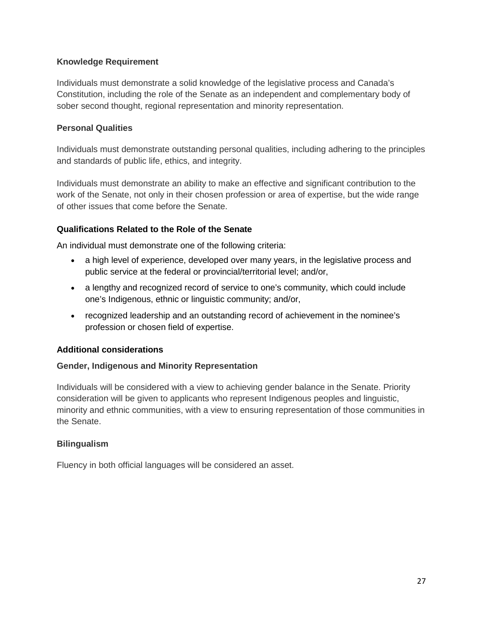#### **Knowledge Requirement**

Individuals must demonstrate a solid knowledge of the legislative process and Canada's Constitution, including the role of the Senate as an independent and complementary body of sober second thought, regional representation and minority representation.

#### **Personal Qualities**

Individuals must demonstrate outstanding personal qualities, including adhering to the principles and standards of public life, ethics, and integrity.

Individuals must demonstrate an ability to make an effective and significant contribution to the work of the Senate, not only in their chosen profession or area of expertise, but the wide range of other issues that come before the Senate.

#### **Qualifications Related to the Role of the Senate**

An individual must demonstrate one of the following criteria:

- a high level of experience, developed over many years, in the legislative process and public service at the federal or provincial/territorial level; and/or,
- a lengthy and recognized record of service to one's community, which could include one's Indigenous, ethnic or linguistic community; and/or,
- recognized leadership and an outstanding record of achievement in the nominee's profession or chosen field of expertise.

#### **Additional considerations**

#### **Gender, Indigenous and Minority Representation**

Individuals will be considered with a view to achieving gender balance in the Senate. Priority consideration will be given to applicants who represent Indigenous peoples and linguistic, minority and ethnic communities, with a view to ensuring representation of those communities in the Senate.

#### **Bilingualism**

Fluency in both official languages will be considered an asset.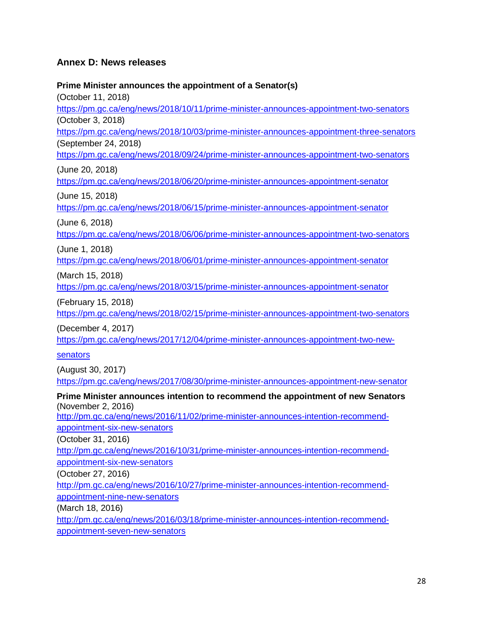# <span id="page-27-0"></span>**Annex D: News releases**

| Prime Minister announces the appointment of a Senator(s)<br>(October 11, 2018)           |
|------------------------------------------------------------------------------------------|
| https://pm.gc.ca/eng/news/2018/10/11/prime-minister-announces-appointment-two-senators   |
| (October 3, 2018)                                                                        |
| https://pm.gc.ca/eng/news/2018/10/03/prime-minister-announces-appointment-three-senators |
| (September 24, 2018)                                                                     |
| https://pm.gc.ca/eng/news/2018/09/24/prime-minister-announces-appointment-two-senators   |
| (June 20, 2018)                                                                          |
| https://pm.gc.ca/eng/news/2018/06/20/prime-minister-announces-appointment-senator        |
| (June 15, 2018)                                                                          |
| https://pm.gc.ca/eng/news/2018/06/15/prime-minister-announces-appointment-senator        |
|                                                                                          |
| (June 6, 2018)                                                                           |
| https://pm.gc.ca/eng/news/2018/06/06/prime-minister-announces-appointment-two-senators   |
| (June 1, 2018)                                                                           |
| https://pm.gc.ca/eng/news/2018/06/01/prime-minister-announces-appointment-senator        |
| (March 15, 2018)                                                                         |
| https://pm.gc.ca/eng/news/2018/03/15/prime-minister-announces-appointment-senator        |
| (February 15, 2018)                                                                      |
| https://pm.gc.ca/eng/news/2018/02/15/prime-minister-announces-appointment-two-senators   |
| (December 4, 2017)                                                                       |
| https://pm.gc.ca/eng/news/2017/12/04/prime-minister-announces-appointment-two-new-       |
|                                                                                          |
| senators                                                                                 |
| (August 30, 2017)                                                                        |
| https://pm.gc.ca/eng/news/2017/08/30/prime-minister-announces-appointment-new-senator    |
| Prime Minister announces intention to recommend the appointment of new Senators          |
| (November 2, 2016)                                                                       |
| http://pm.gc.ca/eng/news/2016/11/02/prime-minister-announces-intention-recommend-        |
| appointment-six-new-senators<br>(October 31, 2016)                                       |
| http://pm.gc.ca/eng/news/2016/10/31/prime-minister-announces-intention-recommend-        |
| appointment-six-new-senators                                                             |
| (October 27, 2016)                                                                       |
| http://pm.gc.ca/eng/news/2016/10/27/prime-minister-announces-intention-recommend-        |
| appointment-nine-new-senators                                                            |
| (March 18, 2016)                                                                         |
| http://pm.gc.ca/eng/news/2016/03/18/prime-minister-announces-intention-recommend-        |
| appointment-seven-new-senators                                                           |
|                                                                                          |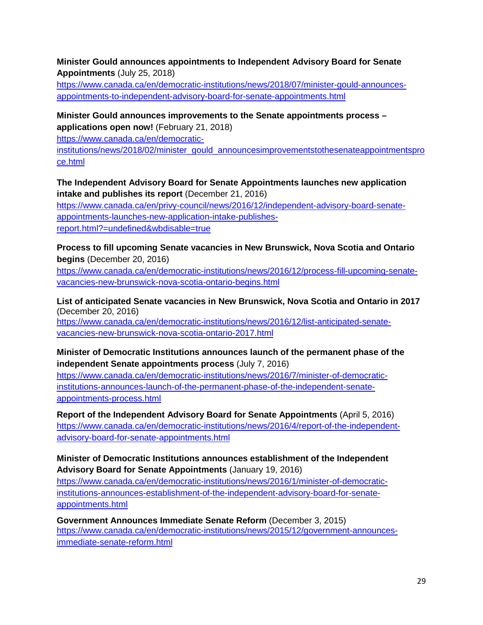**Minister Gould announces appointments to Independent Advisory Board for Senate Appointments** (July 25, 2018)

[https://www.canada.ca/en/democratic-institutions/news/2018/07/minister-gould-announces](https://www.canada.ca/en/democratic-institutions/news/2018/07/minister-gould-announces-appointments-to-independent-advisory-board-for-senate-appointments.html)[appointments-to-independent-advisory-board-for-senate-appointments.html](https://www.canada.ca/en/democratic-institutions/news/2018/07/minister-gould-announces-appointments-to-independent-advisory-board-for-senate-appointments.html)

**Minister Gould announces improvements to the Senate appointments process – applications open now!** (February 21, 2018)

[https://www.canada.ca/en/democratic-](https://www.canada.ca/en/democratic-institutions/news/2018/02/minister_gould_announcesimprovementstothesenateappointmentsproce.html)

[institutions/news/2018/02/minister\\_gould\\_announcesimprovementstothesenateappointmentspro](https://www.canada.ca/en/democratic-institutions/news/2018/02/minister_gould_announcesimprovementstothesenateappointmentsproce.html) [ce.html](https://www.canada.ca/en/democratic-institutions/news/2018/02/minister_gould_announcesimprovementstothesenateappointmentsproce.html)

**The Independent Advisory Board for Senate Appointments launches new application intake and publishes its report** (December 21, 2016) [https://www.canada.ca/en/privy-council/news/2016/12/independent-advisory-board-senate](https://www.canada.ca/en/privy-council/news/2016/12/independent-advisory-board-senate-appointments-launches-new-application-intake-publishes-report.html?=undefined&wbdisable=true)[appointments-launches-new-application-intake-publishes](https://www.canada.ca/en/privy-council/news/2016/12/independent-advisory-board-senate-appointments-launches-new-application-intake-publishes-report.html?=undefined&wbdisable=true)[report.html?=undefined&wbdisable=true](https://www.canada.ca/en/privy-council/news/2016/12/independent-advisory-board-senate-appointments-launches-new-application-intake-publishes-report.html?=undefined&wbdisable=true)

**Process to fill upcoming Senate vacancies in New Brunswick, Nova Scotia and Ontario begins** (December 20, 2016)

[https://www.canada.ca/en/democratic-institutions/news/2016/12/process-fill-upcoming-senate](https://www.canada.ca/en/democratic-institutions/news/2016/12/process-fill-upcoming-senate-vacancies-new-brunswick-nova-scotia-ontario-begins.html)[vacancies-new-brunswick-nova-scotia-ontario-begins.html](https://www.canada.ca/en/democratic-institutions/news/2016/12/process-fill-upcoming-senate-vacancies-new-brunswick-nova-scotia-ontario-begins.html)

**List of anticipated Senate vacancies in New Brunswick, Nova Scotia and Ontario in 2017**  (December 20, 2016) [https://www.canada.ca/en/democratic-institutions/news/2016/12/list-anticipated-senate](https://www.canada.ca/en/democratic-institutions/news/2016/12/list-anticipated-senate-vacancies-new-brunswick-nova-scotia-ontario-2017.html)[vacancies-new-brunswick-nova-scotia-ontario-2017.html](https://www.canada.ca/en/democratic-institutions/news/2016/12/list-anticipated-senate-vacancies-new-brunswick-nova-scotia-ontario-2017.html)

**Minister of Democratic Institutions announces launch of the permanent phase of the independent Senate appointments process** (July 7, 2016)

[https://www.canada.ca/en/democratic-institutions/news/2016/7/minister-of-democratic](https://www.canada.ca/en/democratic-institutions/news/2016/7/minister-of-democratic-institutions-announces-launch-of-the-permanent-phase-of-the-independent-senate-appointments-process.html)[institutions-announces-launch-of-the-permanent-phase-of-the-independent-senate](https://www.canada.ca/en/democratic-institutions/news/2016/7/minister-of-democratic-institutions-announces-launch-of-the-permanent-phase-of-the-independent-senate-appointments-process.html)[appointments-process.html](https://www.canada.ca/en/democratic-institutions/news/2016/7/minister-of-democratic-institutions-announces-launch-of-the-permanent-phase-of-the-independent-senate-appointments-process.html)

**Report of the Independent Advisory Board for Senate Appointments** (April 5, 2016) [https://www.canada.ca/en/democratic-institutions/news/2016/4/report-of-the-independent](https://www.canada.ca/en/democratic-institutions/news/2016/4/report-of-the-independent-advisory-board-for-senate-appointments.html)[advisory-board-for-senate-appointments.html](https://www.canada.ca/en/democratic-institutions/news/2016/4/report-of-the-independent-advisory-board-for-senate-appointments.html)

**Minister of Democratic Institutions announces establishment of the Independent Advisory Board for Senate Appointments** (January 19, 2016)

[https://www.canada.ca/en/democratic-institutions/news/2016/1/minister-of-democratic](https://www.canada.ca/en/democratic-institutions/news/2016/1/minister-of-democratic-institutions-announces-establishment-of-the-independent-advisory-board-for-senate-appointments.html)[institutions-announces-establishment-of-the-independent-advisory-board-for-senate](https://www.canada.ca/en/democratic-institutions/news/2016/1/minister-of-democratic-institutions-announces-establishment-of-the-independent-advisory-board-for-senate-appointments.html)[appointments.html](https://www.canada.ca/en/democratic-institutions/news/2016/1/minister-of-democratic-institutions-announces-establishment-of-the-independent-advisory-board-for-senate-appointments.html)

<span id="page-28-0"></span>**Government Announces Immediate Senate Reform** (December 3, 2015) [https://www.canada.ca/en/democratic-institutions/news/2015/12/government-announces](https://www.canada.ca/en/democratic-institutions/news/2015/12/government-announces-immediate-senate-reform.html)[immediate-senate-reform.html](https://www.canada.ca/en/democratic-institutions/news/2015/12/government-announces-immediate-senate-reform.html)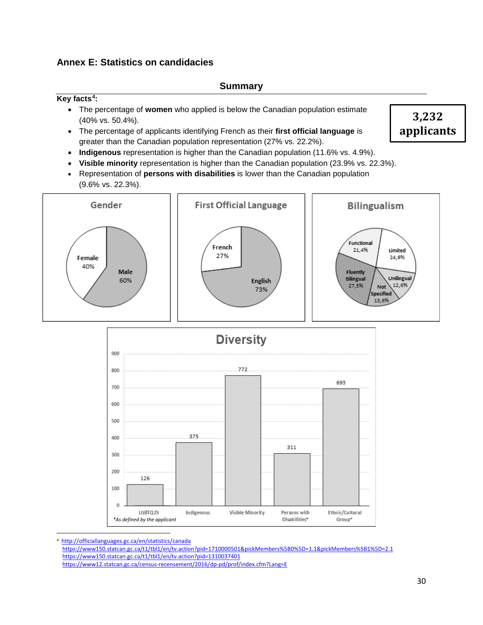## <span id="page-29-0"></span>**Annex E: Statistics on candidacies**

#### **Summary**

#### **Key facts[4:](#page-29-1)**

- The percentage of **women** who applied is below the Canadian population estimate (40% vs. 50.4%).
- The percentage of applicants identifying French as their **first official language** is greater than the Canadian population representation (27% vs. 22.2%).
- **Indigenous** representation is higher than the Canadian population (11.6% vs. 4.9%).
- **Visible minority** representation is higher than the Canadian population (23.9% vs. 22.3%).
- Representation of **persons with disabilities** is lower than the Canadian population (9.6% vs. 22.3%).





<span id="page-29-1"></span>http://officiallanguages.gc.ca/en/statistics/canada <https://www150.statcan.gc.ca/t1/tbl1/en/tv.action?pid=1710000501&pickMembers%5B0%5D=1.1&pickMembers%5B1%5D=2.1> <https://www150.statcan.gc.ca/t1/tbl1/en/tv.action?pid=1310037401> <https://www12.statcan.gc.ca/census-recensement/2016/dp-pd/prof/index.cfm?Lang=E>

**3,232 applicants**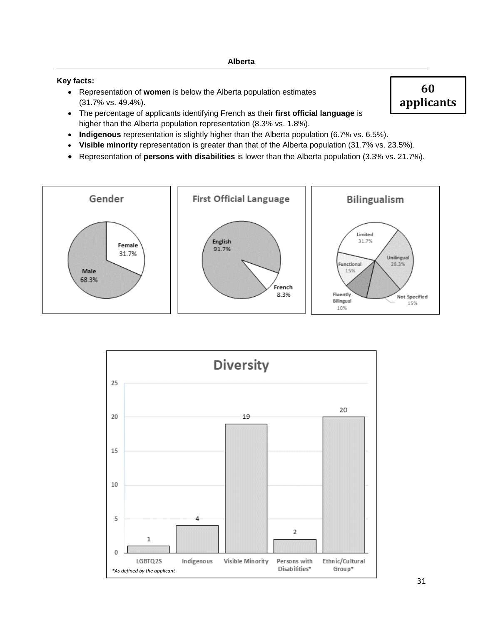- Representation of **women** is below the Alberta population estimates (31.7% vs. 49.4%).
- The percentage of applicants identifying French as their **first official language** is higher than the Alberta population representation (8.3% vs. 1.8%).
- **Indigenous** representation is slightly higher than the Alberta population (6.7% vs. 6.5%).
- **Visible minority** representation is greater than that of the Alberta population (31.7% vs. 23.5%).
- Representation of **persons with disabilities** is lower than the Alberta population (3.3% vs. 21.7%).





**60 applicants**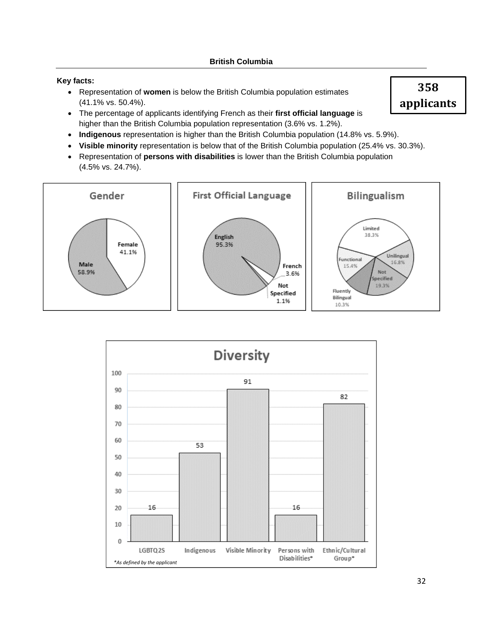- Representation of **women** is below the British Columbia population estimates (41.1% vs. 50.4%).
- The percentage of applicants identifying French as their **first official language** is higher than the British Columbia population representation (3.6% vs. 1.2%).
- **Indigenous** representation is higher than the British Columbia population (14.8% vs. 5.9%).
- **Visible minority** representation is below that of the British Columbia population (25.4% vs. 30.3%).
- Representation of **persons with disabilities** is lower than the British Columbia population (4.5% vs. 24.7%).





**358 applicants**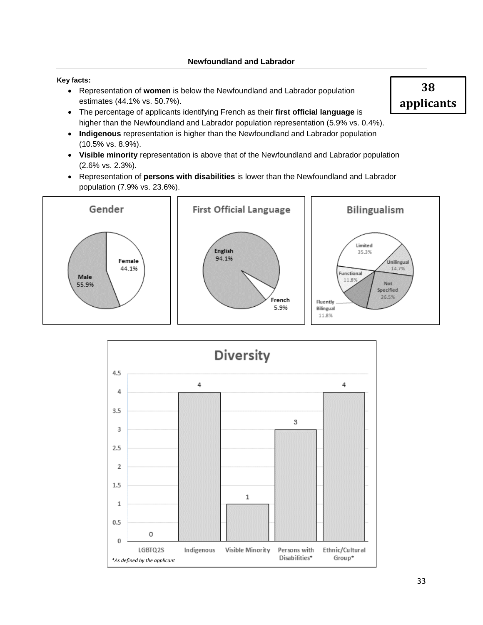- Representation of **women** is below the Newfoundland and Labrador population estimates (44.1% vs. 50.7%).
- The percentage of applicants identifying French as their **first official language** is higher than the Newfoundland and Labrador population representation (5.9% vs. 0.4%).
- **Indigenous** representation is higher than the Newfoundland and Labrador population (10.5% vs. 8.9%).
- **Visible minority** representation is above that of the Newfoundland and Labrador population (2.6% vs. 2.3%).
- Representation of **persons with disabilities** is lower than the Newfoundland and Labrador population (7.9% vs. 23.6%).



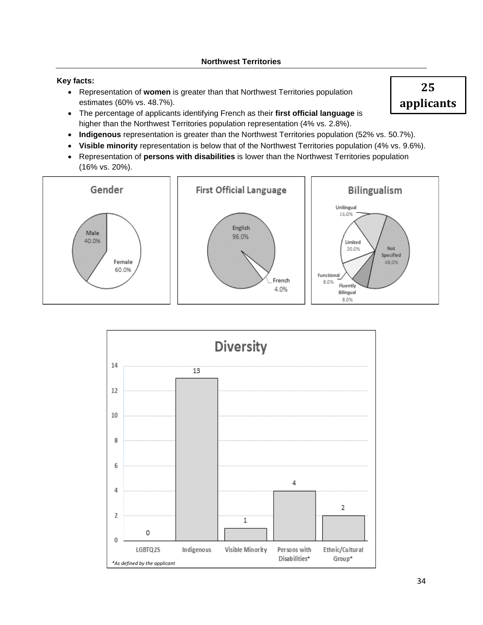- Representation of **women** is greater than that Northwest Territories population estimates (60% vs. 48.7%).
- The percentage of applicants identifying French as their **first official language** is higher than the Northwest Territories population representation (4% vs. 2.8%).
- **Indigenous** representation is greater than the Northwest Territories population (52% vs. 50.7%).
- **Visible minority** representation is below that of the Northwest Territories population (4% vs. 9.6%).
- Representation of **persons with disabilities** is lower than the Northwest Territories population (16% vs. 20%).



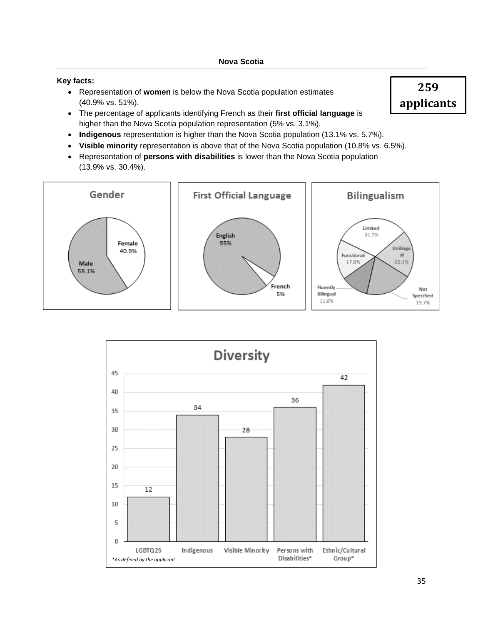- Representation of **women** is below the Nova Scotia population estimates (40.9% vs. 51%).
- The percentage of applicants identifying French as their **first official language** is higher than the Nova Scotia population representation (5% vs. 3.1%).
- **Indigenous** representation is higher than the Nova Scotia population (13.1% vs. 5.7%).
- **Visible minority** representation is above that of the Nova Scotia population (10.8% vs. 6.5%).
- Representation of **persons with disabilities** is lower than the Nova Scotia population (13.9% vs. 30.4%).





**259 applicants**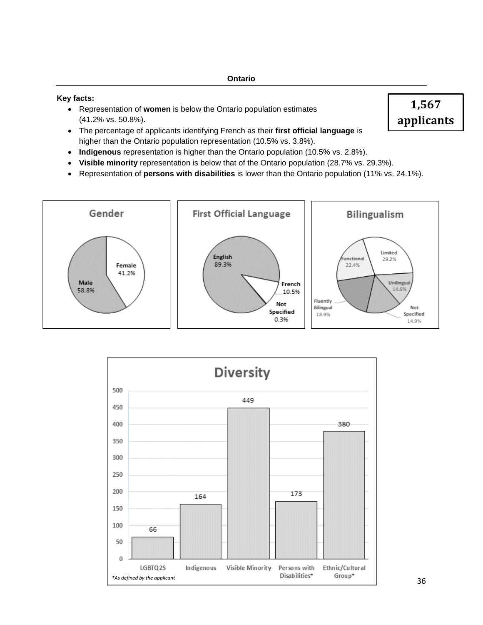**Ontario**

#### **Key facts:**

- Representation of **women** is below the Ontario population estimates (41.2% vs. 50.8%).
- The percentage of applicants identifying French as their **first official language** is higher than the Ontario population representation (10.5% vs. 3.8%).
- **Indigenous** representation is higher than the Ontario population (10.5% vs. 2.8%).
- **Visible minority** representation is below that of the Ontario population (28.7% vs. 29.3%).
- Representation of **persons with disabilities** is lower than the Ontario population (11% vs. 24.1%).





# **1,567 applicants**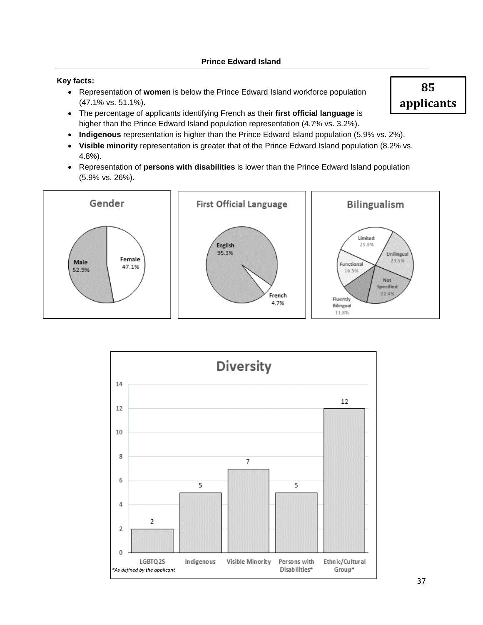- Representation of **women** is below the Prince Edward Island workforce population (47.1% vs. 51.1%).
- The percentage of applicants identifying French as their **first official language** is higher than the Prince Edward Island population representation (4.7% vs. 3.2%).
- **Indigenous** representation is higher than the Prince Edward Island population (5.9% vs. 2%).
- **Visible minority** representation is greater that of the Prince Edward Island population (8.2% vs. 4.8%).
- Representation of **persons with disabilities** is lower than the Prince Edward Island population (5.9% vs. 26%).





# **85 applicants**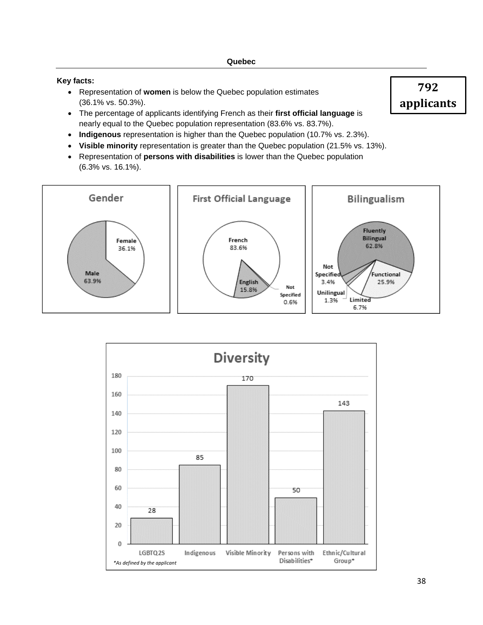#### **Quebec**

#### **Key facts:**

- Representation of **women** is below the Quebec population estimates (36.1% vs. 50.3%).
- The percentage of applicants identifying French as their **first official language** is nearly equal to the Quebec population representation (83.6% vs. 83.7%).
- **Indigenous** representation is higher than the Quebec population (10.7% vs. 2.3%).
- **Visible minority** representation is greater than the Quebec population (21.5% vs. 13%).
- Representation of **persons with disabilities** is lower than the Quebec population (6.3% vs. 16.1%).





**792 applicants**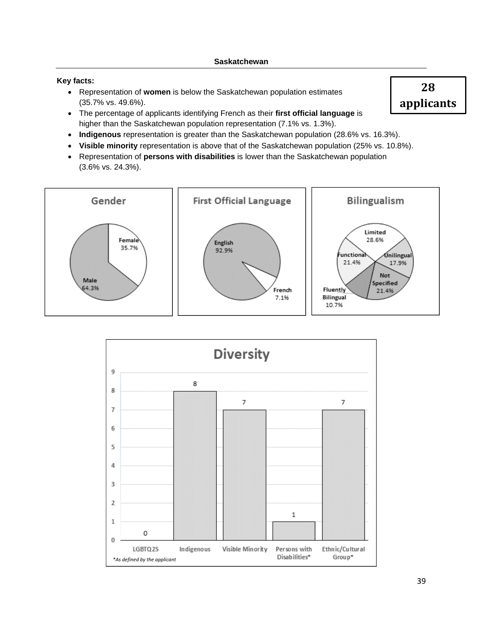- Representation of **women** is below the Saskatchewan population estimates (35.7% vs. 49.6%).
- The percentage of applicants identifying French as their **first official language** is higher than the Saskatchewan population representation (7.1% vs. 1.3%).
- **Indigenous** representation is greater than the Saskatchewan population (28.6% vs. 16.3%).
- **Visible minority** representation is above that of the Saskatchewan population (25% vs. 10.8%).
- Representation of **persons with disabilities** is lower than the Saskatchewan population (3.6% vs. 24.3%).